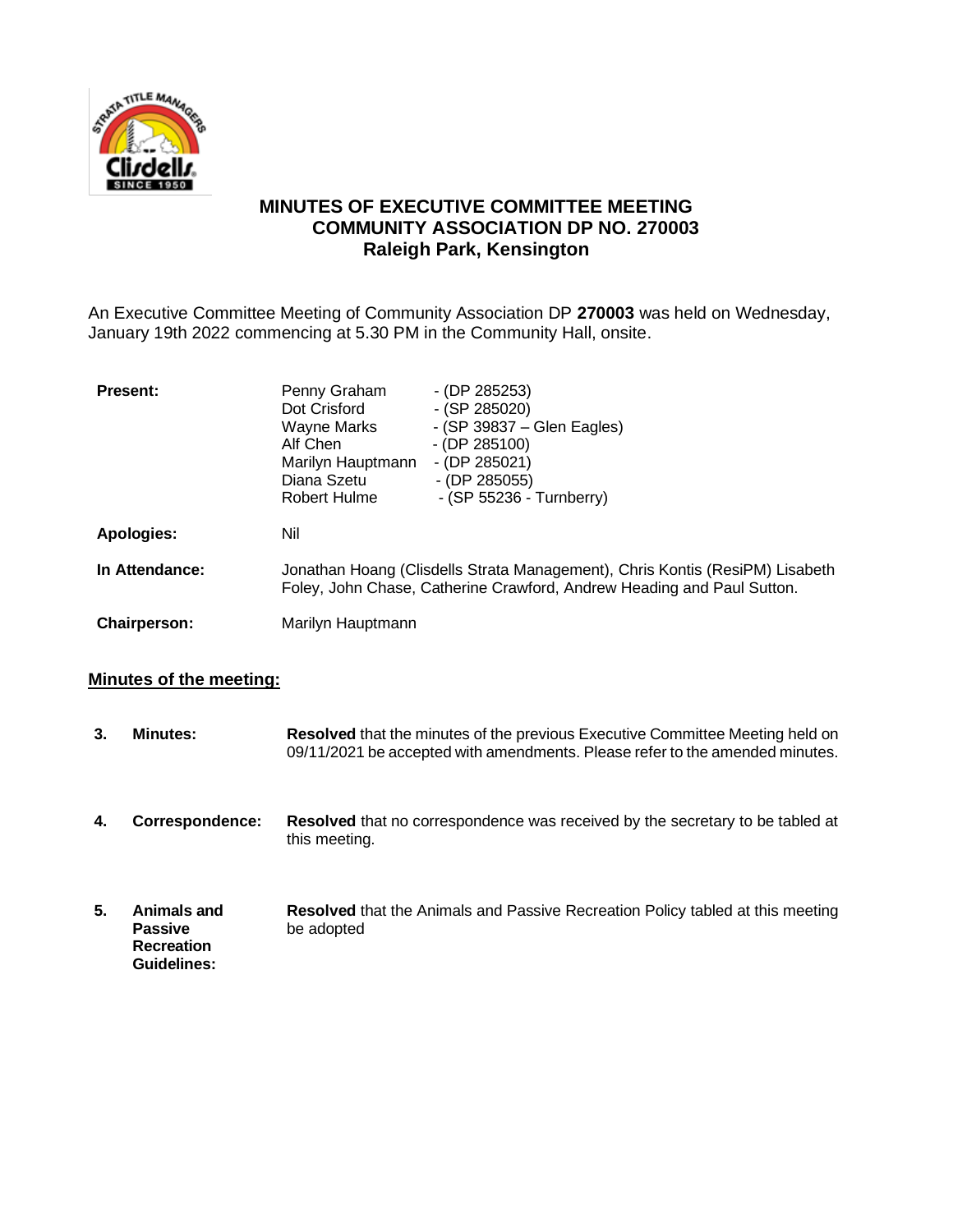

# **MINUTES OF EXECUTIVE COMMITTEE MEETING COMMUNITY ASSOCIATION DP NO. 270003 Raleigh Park, Kensington**

An Executive Committee Meeting of Community Association DP **270003** was held on Wednesday, January 19th 2022 commencing at 5.30 PM in the Community Hall, onsite.

| <b>Present:</b>     | Penny Graham<br>Dot Crisford<br>Wayne Marks<br>Alf Chen<br>Marilyn Hauptmann<br>Diana Szetu<br>Robert Hulme                                            | $-$ (DP 285253)<br>$-$ (SP 285020)<br>- (SP 39837 – Glen Eagles)<br>$-$ (DP 285100)<br>$-$ (DP 285021)<br>$-$ (DP 285055)<br>- (SP 55236 - Turnberry) |
|---------------------|--------------------------------------------------------------------------------------------------------------------------------------------------------|-------------------------------------------------------------------------------------------------------------------------------------------------------|
| Apologies:          | Nil                                                                                                                                                    |                                                                                                                                                       |
| In Attendance:      | Jonathan Hoang (Clisdells Strata Management), Chris Kontis (ResiPM) Lisabeth<br>Foley, John Chase, Catherine Crawford, Andrew Heading and Paul Sutton. |                                                                                                                                                       |
| <b>Chairperson:</b> | Marilyn Hauptmann                                                                                                                                      |                                                                                                                                                       |

## **Minutes of the meeting:**

| 3. | <b>Minutes:</b>                                                   | <b>Resolved</b> that the minutes of the previous Executive Committee Meeting held on<br>09/11/2021 be accepted with amendments. Please refer to the amended minutes. |
|----|-------------------------------------------------------------------|----------------------------------------------------------------------------------------------------------------------------------------------------------------------|
| 4. | Correspondence:                                                   | <b>Resolved</b> that no correspondence was received by the secretary to be tabled at<br>this meeting.                                                                |
| 5. | Animals and<br><b>Passive</b><br><b>Recreation</b><br>Guidelines: | <b>Resolved</b> that the Animals and Passive Recreation Policy tabled at this meeting<br>be adopted                                                                  |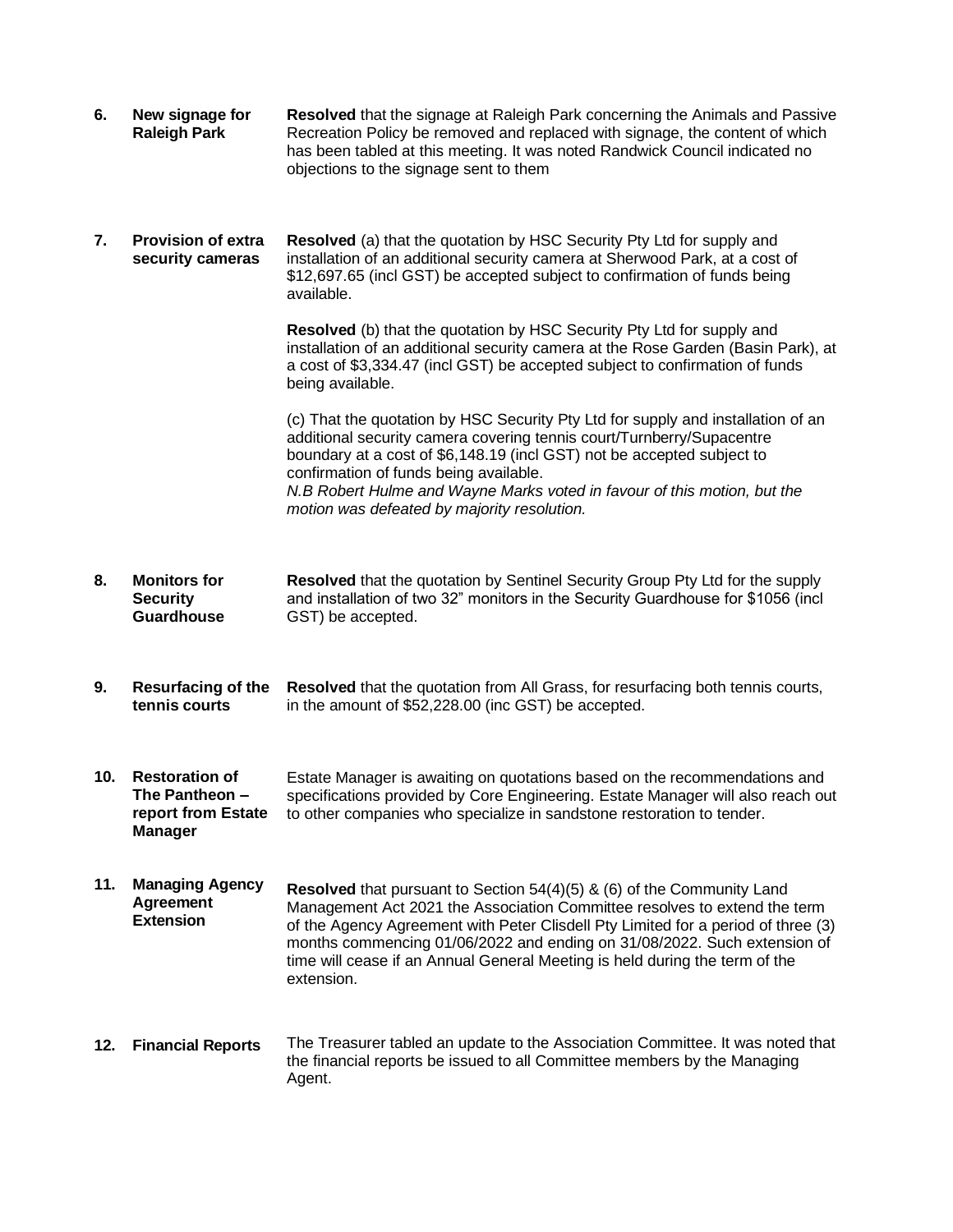| 6.  | New signage for<br><b>Raleigh Park</b>                                          | Resolved that the signage at Raleigh Park concerning the Animals and Passive<br>Recreation Policy be removed and replaced with signage, the content of which<br>has been tabled at this meeting. It was noted Randwick Council indicated no<br>objections to the signage sent to them                                                                                                                                      |
|-----|---------------------------------------------------------------------------------|----------------------------------------------------------------------------------------------------------------------------------------------------------------------------------------------------------------------------------------------------------------------------------------------------------------------------------------------------------------------------------------------------------------------------|
| 7.  | <b>Provision of extra</b><br>security cameras                                   | Resolved (a) that the quotation by HSC Security Pty Ltd for supply and<br>installation of an additional security camera at Sherwood Park, at a cost of<br>\$12,697.65 (incl GST) be accepted subject to confirmation of funds being<br>available.                                                                                                                                                                          |
|     |                                                                                 | Resolved (b) that the quotation by HSC Security Pty Ltd for supply and<br>installation of an additional security camera at the Rose Garden (Basin Park), at<br>a cost of \$3,334.47 (incl GST) be accepted subject to confirmation of funds<br>being available.                                                                                                                                                            |
|     |                                                                                 | (c) That the quotation by HSC Security Pty Ltd for supply and installation of an<br>additional security camera covering tennis court/Turnberry/Supacentre<br>boundary at a cost of \$6,148.19 (incl GST) not be accepted subject to<br>confirmation of funds being available.<br>N.B Robert Hulme and Wayne Marks voted in favour of this motion, but the<br>motion was defeated by majority resolution.                   |
| 8.  | <b>Monitors for</b><br><b>Security</b><br><b>Guardhouse</b>                     | Resolved that the quotation by Sentinel Security Group Pty Ltd for the supply<br>and installation of two 32" monitors in the Security Guardhouse for \$1056 (incl<br>GST) be accepted.                                                                                                                                                                                                                                     |
| 9.  | <b>Resurfacing of the</b><br>tennis courts                                      | Resolved that the quotation from All Grass, for resurfacing both tennis courts,<br>in the amount of \$52,228.00 (inc GST) be accepted.                                                                                                                                                                                                                                                                                     |
| 10. | <b>Restoration of</b><br>The Pantheon -<br>report from Estate<br><b>Manager</b> | Estate Manager is awaiting on quotations based on the recommendations and<br>specifications provided by Core Engineering. Estate Manager will also reach out<br>to other companies who specialize in sandstone restoration to tender.                                                                                                                                                                                      |
| 11. | <b>Managing Agency</b><br><b>Agreement</b><br><b>Extension</b>                  | <b>Resolved</b> that pursuant to Section $54(4)(5)$ & (6) of the Community Land<br>Management Act 2021 the Association Committee resolves to extend the term<br>of the Agency Agreement with Peter Clisdell Pty Limited for a period of three (3)<br>months commencing 01/06/2022 and ending on 31/08/2022. Such extension of<br>time will cease if an Annual General Meeting is held during the term of the<br>extension. |
| 12. | <b>Financial Reports</b>                                                        | The Treasurer tabled an update to the Association Committee. It was noted that<br>the financial reports be issued to all Committee members by the Managing<br>Agent.                                                                                                                                                                                                                                                       |